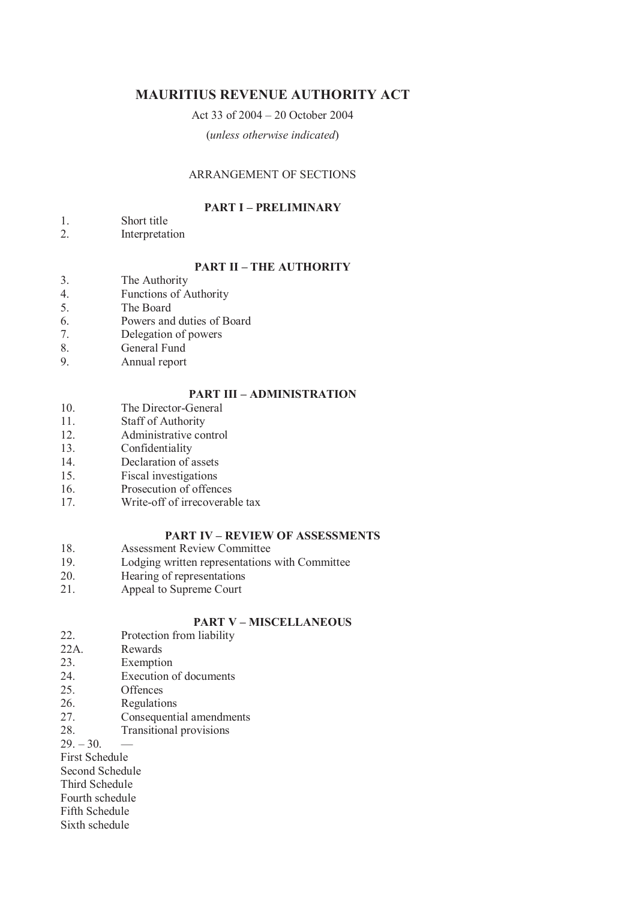# **MAURITIUS REVENUE AUTHORITY ACT**

# Act 33 of 2004 – 20 October 2004

(*unless otherwise indicated*)

## ARRANGEMENT OF SECTIONS

## **PART I – PRELIMINARY**

- 1. Short title
- 2. Interpretation

## **PART II – THE AUTHORITY**

- 3. The Authority
- 4. Functions of Authority
- 5. The Board
- 6. Powers and duties of Board
- 7. Delegation of powers
- 8. General Fund
- 9. Annual report

# **PART III – ADMINISTRATION**

- 10. The Director-General
- 11. Staff of Authority
- 12. Administrative control
- 13. Confidentiality
- 14. Declaration of assets
- 15. Fiscal investigations
- 16. Prosecution of offences
- 17. Write-off of irrecoverable tax

# **PART IV – REVIEW OF ASSESSMENTS**

- 18. Assessment Review Committee
- 19. Lodging written representations with Committee
- 20. Hearing of representations
- 21. Appeal to Supreme Court

# **PART V – MISCELLANEOUS**

- 22. Protection from liability
- 22A. Rewards
- 23. Exemption
- 24. Execution of documents
- 25. Offences
- 26. Regulations
- 27. Consequential amendments
- 28. Transitional provisions

 $29. - 30.$ 

First Schedule

Second Schedule

Third Schedule Fourth schedule

Fifth Schedule

Sixth schedule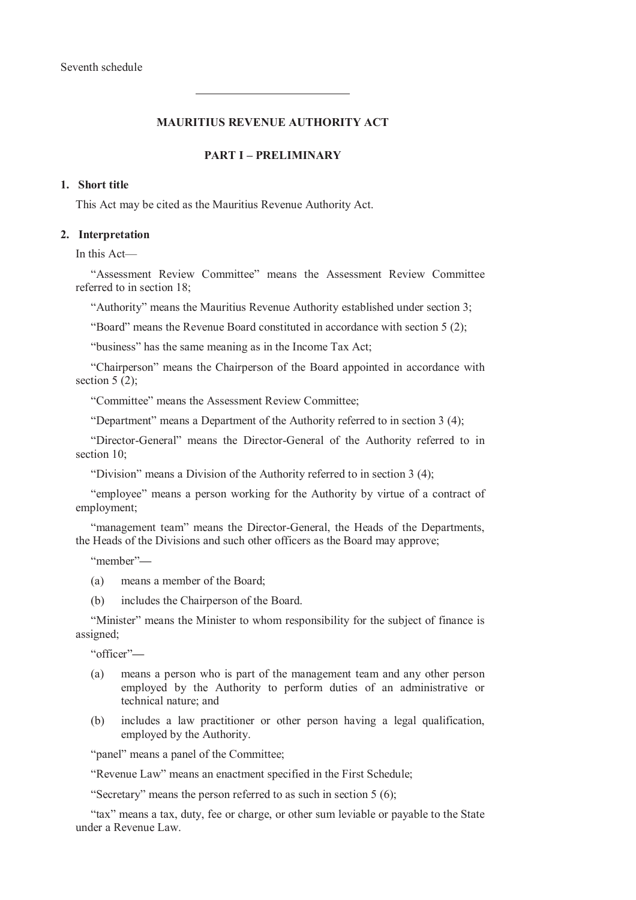## **MAURITIUS REVENUE AUTHORITY ACT**

## **PART I – PRELIMINARY**

## **1. Short title**

This Act may be cited as the Mauritius Revenue Authority Act.

### **2. Interpretation**

In this Act—

"Assessment Review Committee" means the Assessment Review Committee referred to in section 18;

"Authority" means the Mauritius Revenue Authority established under section 3;

"Board" means the Revenue Board constituted in accordance with section 5 (2);

"business" has the same meaning as in the Income Tax Act;

"Chairperson" means the Chairperson of the Board appointed in accordance with section  $5(2)$ ;

"Committee" means the Assessment Review Committee;

"Department" means a Department of the Authority referred to in section 3 (4);

"Director-General" means the Director-General of the Authority referred to in section 10<sup> $\cdot$ </sup>

"Division" means a Division of the Authority referred to in section 3 (4);

"employee" means a person working for the Authority by virtue of a contract of employment;

"management team" means the Director-General, the Heads of the Departments, the Heads of the Divisions and such other officers as the Board may approve;

"member"**—**

- (a) means a member of the Board;
- (b) includes the Chairperson of the Board.

"Minister" means the Minister to whom responsibility for the subject of finance is assigned;

"officer"**—**

- (a) means a person who is part of the management team and any other person employed by the Authority to perform duties of an administrative or technical nature; and
- (b) includes a law practitioner or other person having a legal qualification, employed by the Authority.

"panel" means a panel of the Committee;

"Revenue Law" means an enactment specified in the First Schedule;

"Secretary" means the person referred to as such in section 5 (6);

"tax" means a tax, duty, fee or charge, or other sum leviable or payable to the State under a Revenue Law.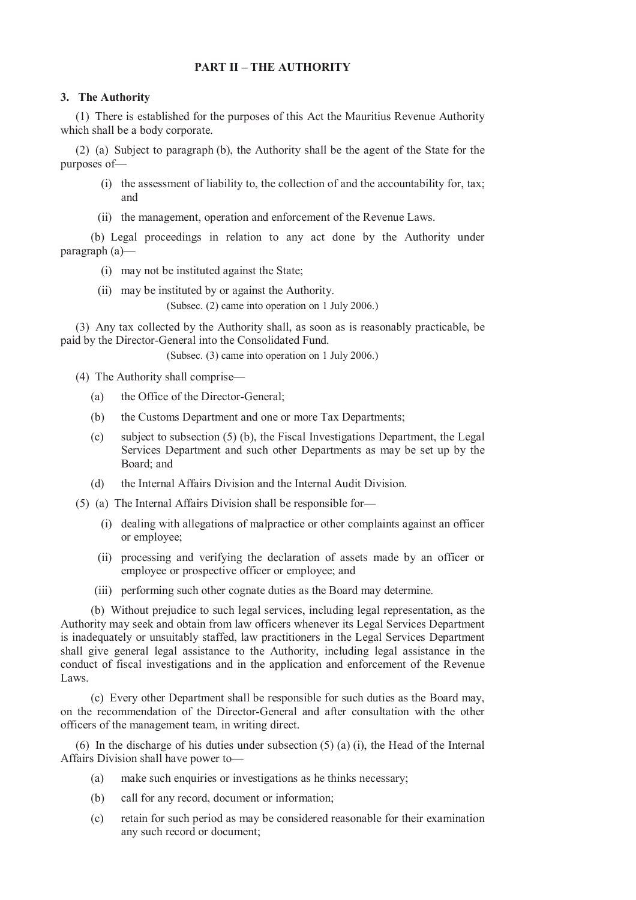## **PART II – THE AUTHORITY**

## **3. The Authority**

(1) There is established for the purposes of this Act the Mauritius Revenue Authority which shall be a body corporate.

(2) (a) Subject to paragraph (b), the Authority shall be the agent of the State for the purposes of—

- (i) the assessment of liability to, the collection of and the accountability for, tax; and
- (ii) the management, operation and enforcement of the Revenue Laws.

(b) Legal proceedings in relation to any act done by the Authority under paragraph (a)—

- (i) may not be instituted against the State;
- (ii) may be instituted by or against the Authority.

(Subsec. (2) came into operation on 1 July 2006.)

(3) Any tax collected by the Authority shall, as soon as is reasonably practicable, be paid by the Director-General into the Consolidated Fund.

(Subsec. (3) came into operation on 1 July 2006.)

(4) The Authority shall comprise—

- (a) the Office of the Director-General;
- (b) the Customs Department and one or more Tax Departments;
- (c) subject to subsection (5) (b), the Fiscal Investigations Department, the Legal Services Department and such other Departments as may be set up by the Board; and
- (d) the Internal Affairs Division and the Internal Audit Division.
- (5) (a) The Internal Affairs Division shall be responsible for—
	- (i) dealing with allegations of malpractice or other complaints against an officer or employee;
	- (ii) processing and verifying the declaration of assets made by an officer or employee or prospective officer or employee; and
	- (iii) performing such other cognate duties as the Board may determine.

(b) Without prejudice to such legal services, including legal representation, as the Authority may seek and obtain from law officers whenever its Legal Services Department is inadequately or unsuitably staffed, law practitioners in the Legal Services Department shall give general legal assistance to the Authority, including legal assistance in the conduct of fiscal investigations and in the application and enforcement of the Revenue Laws.

(c) Every other Department shall be responsible for such duties as the Board may, on the recommendation of the Director-General and after consultation with the other officers of the management team, in writing direct.

(6) In the discharge of his duties under subsection (5) (a) (i), the Head of the Internal Affairs Division shall have power to—

- (a) make such enquiries or investigations as he thinks necessary;
- (b) call for any record, document or information;
- (c) retain for such period as may be considered reasonable for their examination any such record or document;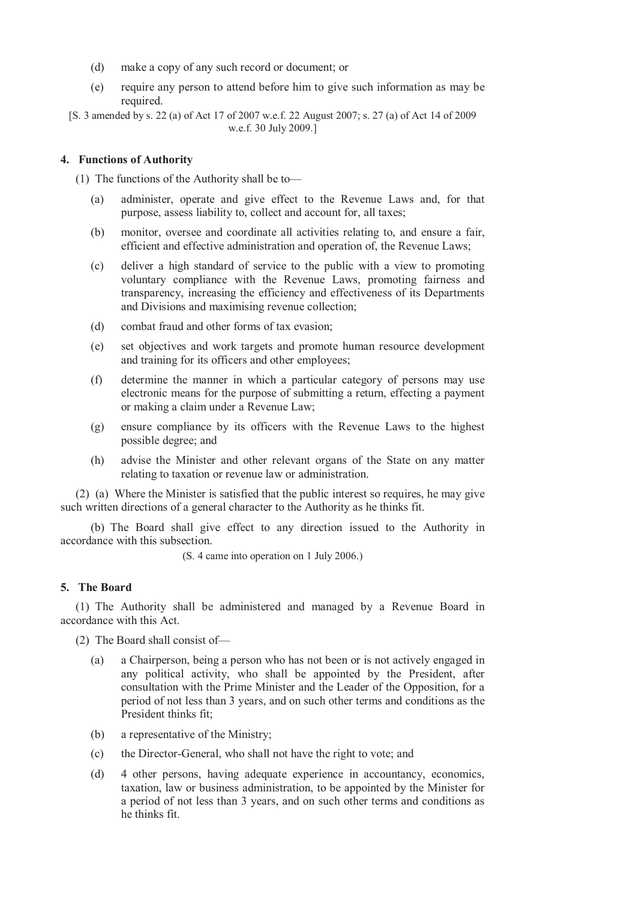- (d) make a copy of any such record or document; or
- (e) require any person to attend before him to give such information as may be required.
- [S. 3 amended by s. 22 (a) of Act 17 of 2007 w.e.f. 22 August 2007; s. 27 (a) of Act 14 of 2009 w.e.f. 30 July 2009.]

## **4. Functions of Authority**

(1) The functions of the Authority shall be to—

- (a) administer, operate and give effect to the Revenue Laws and, for that purpose, assess liability to, collect and account for, all taxes;
- (b) monitor, oversee and coordinate all activities relating to, and ensure a fair, efficient and effective administration and operation of, the Revenue Laws;
- (c) deliver a high standard of service to the public with a view to promoting voluntary compliance with the Revenue Laws, promoting fairness and transparency, increasing the efficiency and effectiveness of its Departments and Divisions and maximising revenue collection;
- (d) combat fraud and other forms of tax evasion;
- (e) set objectives and work targets and promote human resource development and training for its officers and other employees;
- (f) determine the manner in which a particular category of persons may use electronic means for the purpose of submitting a return, effecting a payment or making a claim under a Revenue Law;
- (g) ensure compliance by its officers with the Revenue Laws to the highest possible degree; and
- (h) advise the Minister and other relevant organs of the State on any matter relating to taxation or revenue law or administration.

(2) (a) Where the Minister is satisfied that the public interest so requires, he may give such written directions of a general character to the Authority as he thinks fit.

(b) The Board shall give effect to any direction issued to the Authority in accordance with this subsection.

(S. 4 came into operation on 1 July 2006.)

## **5. The Board**

(1) The Authority shall be administered and managed by a Revenue Board in accordance with this Act.

(2) The Board shall consist of—

- (a) a Chairperson, being a person who has not been or is not actively engaged in any political activity, who shall be appointed by the President, after consultation with the Prime Minister and the Leader of the Opposition, for a period of not less than 3 years, and on such other terms and conditions as the President thinks fit;
- (b) a representative of the Ministry;
- (c) the Director-General, who shall not have the right to vote; and
- (d) 4 other persons, having adequate experience in accountancy, economics, taxation, law or business administration, to be appointed by the Minister for a period of not less than 3 years, and on such other terms and conditions as he thinks fit.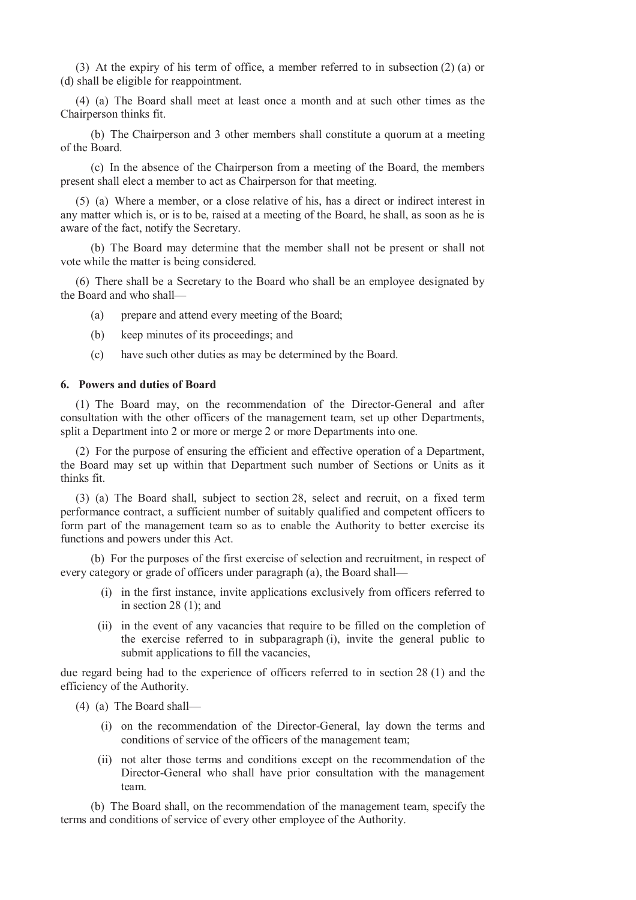(3) At the expiry of his term of office, a member referred to in subsection (2) (a) or (d) shall be eligible for reappointment.

(4) (a) The Board shall meet at least once a month and at such other times as the Chairperson thinks fit.

(b) The Chairperson and 3 other members shall constitute a quorum at a meeting of the Board.

(c) In the absence of the Chairperson from a meeting of the Board, the members present shall elect a member to act as Chairperson for that meeting.

(5) (a) Where a member, or a close relative of his, has a direct or indirect interest in any matter which is, or is to be, raised at a meeting of the Board, he shall, as soon as he is aware of the fact, notify the Secretary.

(b) The Board may determine that the member shall not be present or shall not vote while the matter is being considered.

(6) There shall be a Secretary to the Board who shall be an employee designated by the Board and who shall—

(a) prepare and attend every meeting of the Board;

- (b) keep minutes of its proceedings; and
- (c) have such other duties as may be determined by the Board.

## **6. Powers and duties of Board**

(1) The Board may, on the recommendation of the Director-General and after consultation with the other officers of the management team, set up other Departments, split a Department into 2 or more or merge 2 or more Departments into one.

(2) For the purpose of ensuring the efficient and effective operation of a Department, the Board may set up within that Department such number of Sections or Units as it thinks fit.

(3) (a) The Board shall, subject to section 28, select and recruit, on a fixed term performance contract, a sufficient number of suitably qualified and competent officers to form part of the management team so as to enable the Authority to better exercise its functions and powers under this Act.

(b) For the purposes of the first exercise of selection and recruitment, in respect of every category or grade of officers under paragraph (a), the Board shall—

- (i) in the first instance, invite applications exclusively from officers referred to in section 28 (1); and
- (ii) in the event of any vacancies that require to be filled on the completion of the exercise referred to in subparagraph (i), invite the general public to submit applications to fill the vacancies,

due regard being had to the experience of officers referred to in section 28 (1) and the efficiency of the Authority.

- (4) (a) The Board shall—
	- (i) on the recommendation of the Director-General, lay down the terms and conditions of service of the officers of the management team;
	- (ii) not alter those terms and conditions except on the recommendation of the Director-General who shall have prior consultation with the management team.

(b) The Board shall, on the recommendation of the management team, specify the terms and conditions of service of every other employee of the Authority.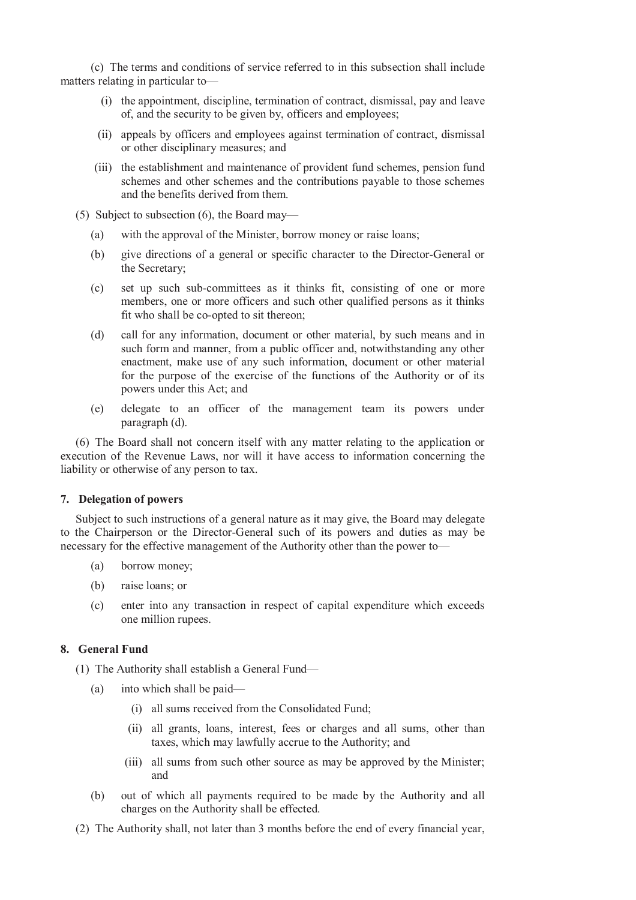(c) The terms and conditions of service referred to in this subsection shall include matters relating in particular to—

- (i) the appointment, discipline, termination of contract, dismissal, pay and leave of, and the security to be given by, officers and employees;
- (ii) appeals by officers and employees against termination of contract, dismissal or other disciplinary measures; and
- (iii) the establishment and maintenance of provident fund schemes, pension fund schemes and other schemes and the contributions payable to those schemes and the benefits derived from them.
- (5) Subject to subsection (6), the Board may—
	- (a) with the approval of the Minister, borrow money or raise loans;
	- (b) give directions of a general or specific character to the Director-General or the Secretary;
	- (c) set up such sub-committees as it thinks fit, consisting of one or more members, one or more officers and such other qualified persons as it thinks fit who shall be co-opted to sit thereon;
	- (d) call for any information, document or other material, by such means and in such form and manner, from a public officer and, notwithstanding any other enactment, make use of any such information, document or other material for the purpose of the exercise of the functions of the Authority or of its powers under this Act; and
	- (e) delegate to an officer of the management team its powers under paragraph (d).

(6) The Board shall not concern itself with any matter relating to the application or execution of the Revenue Laws, nor will it have access to information concerning the liability or otherwise of any person to tax.

## **7. Delegation of powers**

Subject to such instructions of a general nature as it may give, the Board may delegate to the Chairperson or the Director-General such of its powers and duties as may be necessary for the effective management of the Authority other than the power to—

- (a) borrow money;
- (b) raise loans; or
- (c) enter into any transaction in respect of capital expenditure which exceeds one million rupees.

## **8. General Fund**

(1) The Authority shall establish a General Fund—

- (a) into which shall be paid—
	- (i) all sums received from the Consolidated Fund;
	- (ii) all grants, loans, interest, fees or charges and all sums, other than taxes, which may lawfully accrue to the Authority; and
	- (iii) all sums from such other source as may be approved by the Minister; and
- (b) out of which all payments required to be made by the Authority and all charges on the Authority shall be effected.
- (2) The Authority shall, not later than 3 months before the end of every financial year,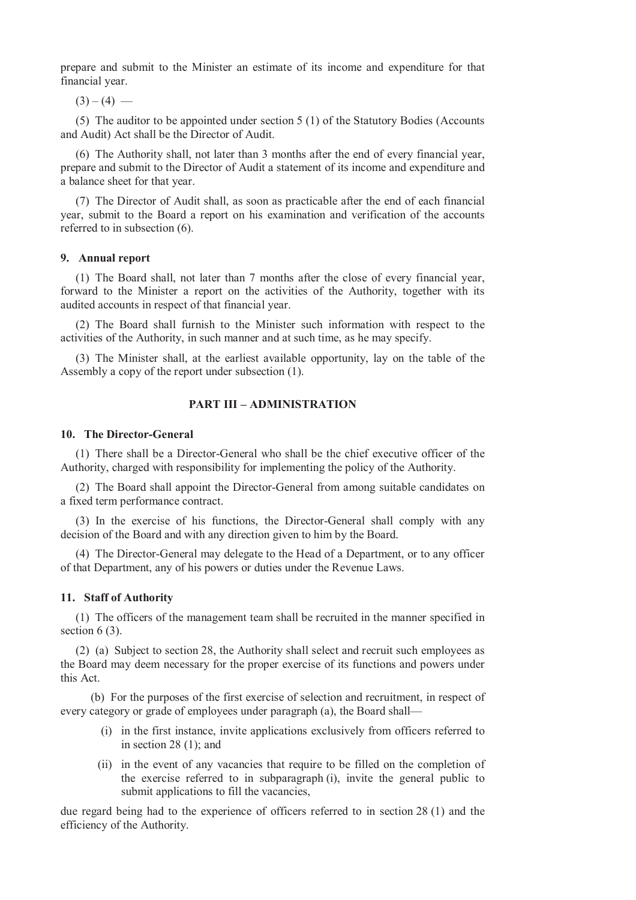prepare and submit to the Minister an estimate of its income and expenditure for that financial year.

 $(3) - (4)$  —

(5) The auditor to be appointed under section 5 (1) of the Statutory Bodies (Accounts and Audit) Act shall be the Director of Audit.

(6) The Authority shall, not later than 3 months after the end of every financial year, prepare and submit to the Director of Audit a statement of its income and expenditure and a balance sheet for that year.

(7) The Director of Audit shall, as soon as practicable after the end of each financial year, submit to the Board a report on his examination and verification of the accounts referred to in subsection (6).

### **9. Annual report**

(1) The Board shall, not later than 7 months after the close of every financial year, forward to the Minister a report on the activities of the Authority, together with its audited accounts in respect of that financial year.

(2) The Board shall furnish to the Minister such information with respect to the activities of the Authority, in such manner and at such time, as he may specify.

(3) The Minister shall, at the earliest available opportunity, lay on the table of the Assembly a copy of the report under subsection (1).

## **PART III – ADMINISTRATION**

#### **10. The Director-General**

(1) There shall be a Director-General who shall be the chief executive officer of the Authority, charged with responsibility for implementing the policy of the Authority.

(2) The Board shall appoint the Director-General from among suitable candidates on a fixed term performance contract.

(3) In the exercise of his functions, the Director-General shall comply with any decision of the Board and with any direction given to him by the Board.

(4) The Director-General may delegate to the Head of a Department, or to any officer of that Department, any of his powers or duties under the Revenue Laws.

### **11. Staff of Authority**

(1) The officers of the management team shall be recruited in the manner specified in section  $6(3)$ .

(2) (a) Subject to section 28, the Authority shall select and recruit such employees as the Board may deem necessary for the proper exercise of its functions and powers under this Act.

(b) For the purposes of the first exercise of selection and recruitment, in respect of every category or grade of employees under paragraph (a), the Board shall—

- (i) in the first instance, invite applications exclusively from officers referred to in section 28 (1); and
- (ii) in the event of any vacancies that require to be filled on the completion of the exercise referred to in subparagraph (i), invite the general public to submit applications to fill the vacancies.

due regard being had to the experience of officers referred to in section 28 (1) and the efficiency of the Authority.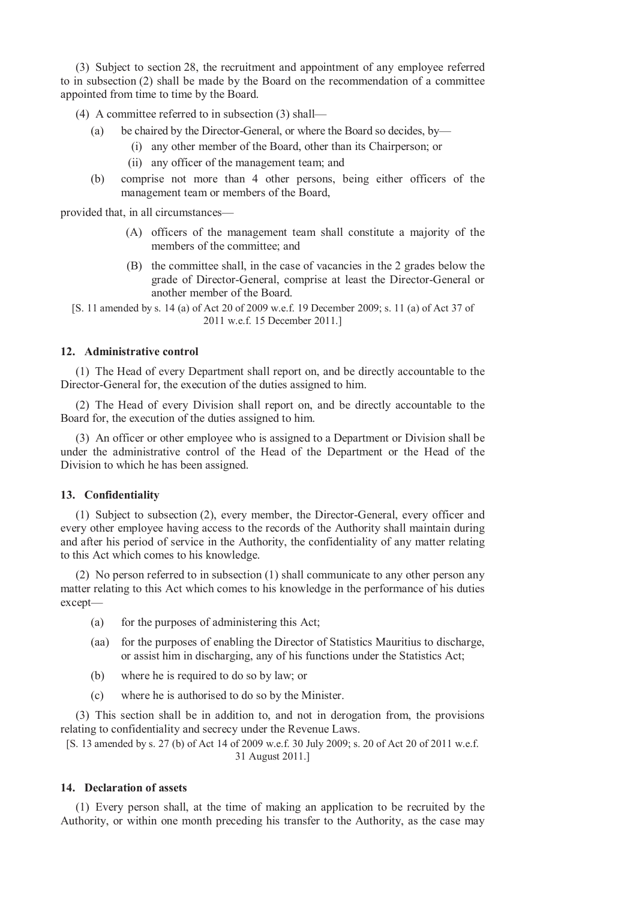(3) Subject to section 28, the recruitment and appointment of any employee referred to in subsection (2) shall be made by the Board on the recommendation of a committee appointed from time to time by the Board.

(4) A committee referred to in subsection (3) shall—

- (a) be chaired by the Director-General, or where the Board so decides, by—
	- (i) any other member of the Board, other than its Chairperson; or
	- (ii) any officer of the management team; and
- (b) comprise not more than 4 other persons, being either officers of the management team or members of the Board,

provided that, in all circumstances—

- (A) officers of the management team shall constitute a majority of the members of the committee; and
- (B) the committee shall, in the case of vacancies in the 2 grades below the grade of Director-General, comprise at least the Director-General or another member of the Board.
- [S. 11 amended by s. 14 (a) of Act 20 of 2009 w.e.f. 19 December 2009; s. 11 (a) of Act 37 of 2011 w.e.f. 15 December 2011.]

## **12. Administrative control**

(1) The Head of every Department shall report on, and be directly accountable to the Director-General for, the execution of the duties assigned to him.

(2) The Head of every Division shall report on, and be directly accountable to the Board for, the execution of the duties assigned to him.

(3) An officer or other employee who is assigned to a Department or Division shall be under the administrative control of the Head of the Department or the Head of the Division to which he has been assigned.

#### **13. Confidentiality**

(1) Subject to subsection (2), every member, the Director-General, every officer and every other employee having access to the records of the Authority shall maintain during and after his period of service in the Authority, the confidentiality of any matter relating to this Act which comes to his knowledge.

(2) No person referred to in subsection (1) shall communicate to any other person any matter relating to this Act which comes to his knowledge in the performance of his duties except—

- (a) for the purposes of administering this Act;
- (aa) for the purposes of enabling the Director of Statistics Mauritius to discharge, or assist him in discharging, any of his functions under the Statistics Act;
- (b) where he is required to do so by law; or
- (c) where he is authorised to do so by the Minister.

(3) This section shall be in addition to, and not in derogation from, the provisions relating to confidentiality and secrecy under the Revenue Laws.

[S. 13 amended by s. 27 (b) of Act 14 of 2009 w.e.f. 30 July 2009; s. 20 of Act 20 of 2011 w.e.f. 31 August 2011.]

#### **14. Declaration of assets**

(1) Every person shall, at the time of making an application to be recruited by the Authority, or within one month preceding his transfer to the Authority, as the case may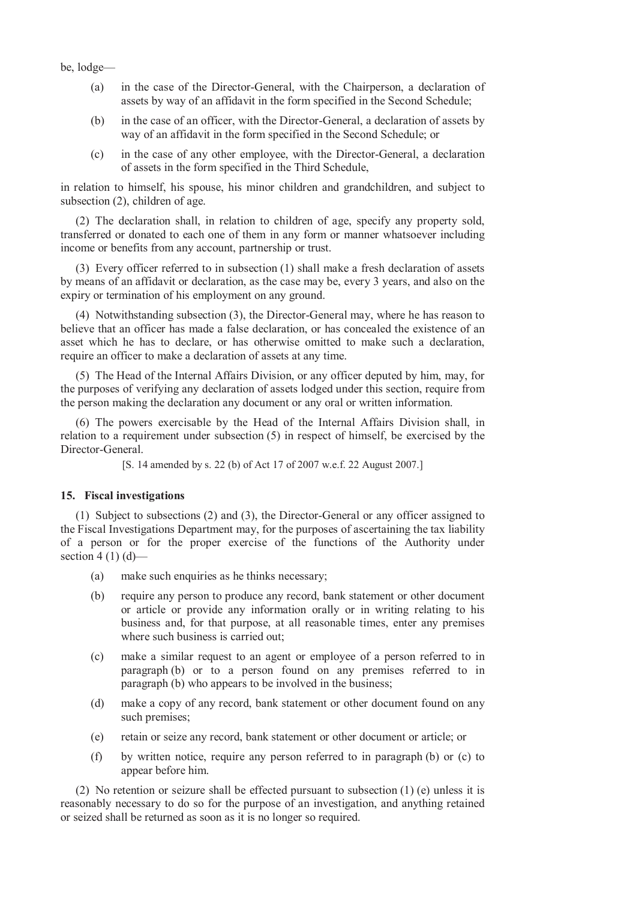be, lodge—

- (a) in the case of the Director-General, with the Chairperson, a declaration of assets by way of an affidavit in the form specified in the Second Schedule;
- (b) in the case of an officer, with the Director-General, a declaration of assets by way of an affidavit in the form specified in the Second Schedule; or
- (c) in the case of any other employee, with the Director-General, a declaration of assets in the form specified in the Third Schedule,

in relation to himself, his spouse, his minor children and grandchildren, and subject to subsection (2), children of age.

(2) The declaration shall, in relation to children of age, specify any property sold, transferred or donated to each one of them in any form or manner whatsoever including income or benefits from any account, partnership or trust.

(3) Every officer referred to in subsection (1) shall make a fresh declaration of assets by means of an affidavit or declaration, as the case may be, every 3 years, and also on the expiry or termination of his employment on any ground.

(4) Notwithstanding subsection (3), the Director-General may, where he has reason to believe that an officer has made a false declaration, or has concealed the existence of an asset which he has to declare, or has otherwise omitted to make such a declaration, require an officer to make a declaration of assets at any time.

(5) The Head of the Internal Affairs Division, or any officer deputed by him, may, for the purposes of verifying any declaration of assets lodged under this section, require from the person making the declaration any document or any oral or written information.

(6) The powers exercisable by the Head of the Internal Affairs Division shall, in relation to a requirement under subsection (5) in respect of himself, be exercised by the Director-General.

[S. 14 amended by s. 22 (b) of Act 17 of 2007 w.e.f. 22 August 2007.]

## **15. Fiscal investigations**

(1) Subject to subsections (2) and (3), the Director-General or any officer assigned to the Fiscal Investigations Department may, for the purposes of ascertaining the tax liability of a person or for the proper exercise of the functions of the Authority under section 4 (1)  $(d)$ —

- (a) make such enquiries as he thinks necessary;
- (b) require any person to produce any record, bank statement or other document or article or provide any information orally or in writing relating to his business and, for that purpose, at all reasonable times, enter any premises where such business is carried out;
- (c) make a similar request to an agent or employee of a person referred to in paragraph (b) or to a person found on any premises referred to in paragraph (b) who appears to be involved in the business;
- (d) make a copy of any record, bank statement or other document found on any such premises;
- (e) retain or seize any record, bank statement or other document or article; or
- (f) by written notice, require any person referred to in paragraph (b) or (c) to appear before him.

(2) No retention or seizure shall be effected pursuant to subsection (1) (e) unless it is reasonably necessary to do so for the purpose of an investigation, and anything retained or seized shall be returned as soon as it is no longer so required.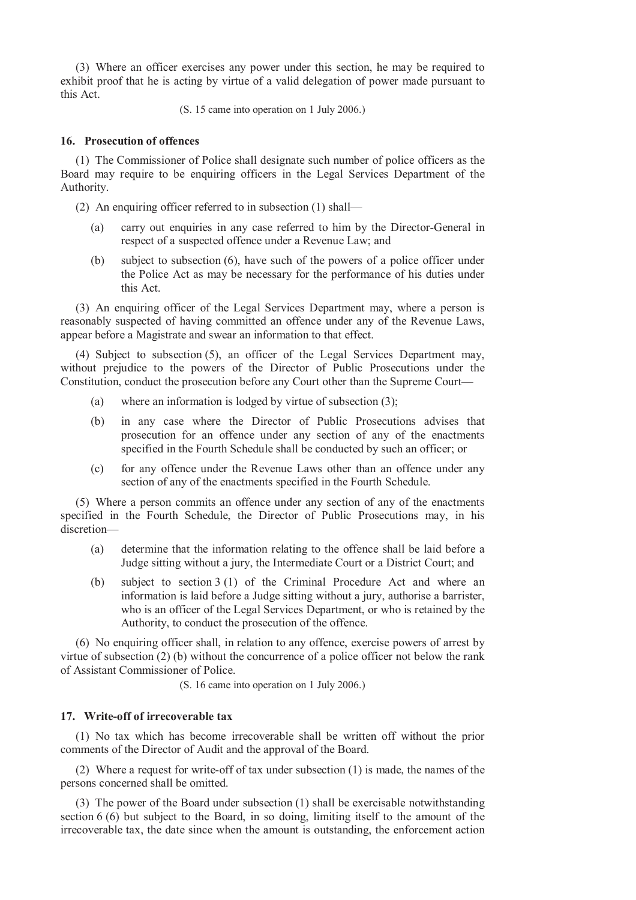(3) Where an officer exercises any power under this section, he may be required to exhibit proof that he is acting by virtue of a valid delegation of power made pursuant to this Act.

(S. 15 came into operation on 1 July 2006.)

## **16. Prosecution of offences**

(1) The Commissioner of Police shall designate such number of police officers as the Board may require to be enquiring officers in the Legal Services Department of the Authority.

(2) An enquiring officer referred to in subsection (1) shall—

- (a) carry out enquiries in any case referred to him by the Director-General in respect of a suspected offence under a Revenue Law; and
- (b) subject to subsection (6), have such of the powers of a police officer under the Police Act as may be necessary for the performance of his duties under this Act.

(3) An enquiring officer of the Legal Services Department may, where a person is reasonably suspected of having committed an offence under any of the Revenue Laws, appear before a Magistrate and swear an information to that effect.

(4) Subject to subsection (5), an officer of the Legal Services Department may, without prejudice to the powers of the Director of Public Prosecutions under the Constitution, conduct the prosecution before any Court other than the Supreme Court—

- (a) where an information is lodged by virtue of subsection (3);
- (b) in any case where the Director of Public Prosecutions advises that prosecution for an offence under any section of any of the enactments specified in the Fourth Schedule shall be conducted by such an officer; or
- (c) for any offence under the Revenue Laws other than an offence under any section of any of the enactments specified in the Fourth Schedule.

(5) Where a person commits an offence under any section of any of the enactments specified in the Fourth Schedule, the Director of Public Prosecutions may, in his discretion—

- (a) determine that the information relating to the offence shall be laid before a Judge sitting without a jury, the Intermediate Court or a District Court; and
- (b) subject to section 3 (1) of the Criminal Procedure Act and where an information is laid before a Judge sitting without a jury, authorise a barrister, who is an officer of the Legal Services Department, or who is retained by the Authority, to conduct the prosecution of the offence.

(6) No enquiring officer shall, in relation to any offence, exercise powers of arrest by virtue of subsection (2) (b) without the concurrence of a police officer not below the rank of Assistant Commissioner of Police.

(S. 16 came into operation on 1 July 2006.)

## **17. Write-off of irrecoverable tax**

(1) No tax which has become irrecoverable shall be written off without the prior comments of the Director of Audit and the approval of the Board.

(2) Where a request for write-off of tax under subsection (1) is made, the names of the persons concerned shall be omitted.

(3) The power of the Board under subsection (1) shall be exercisable notwithstanding section 6 (6) but subject to the Board, in so doing, limiting itself to the amount of the irrecoverable tax, the date since when the amount is outstanding, the enforcement action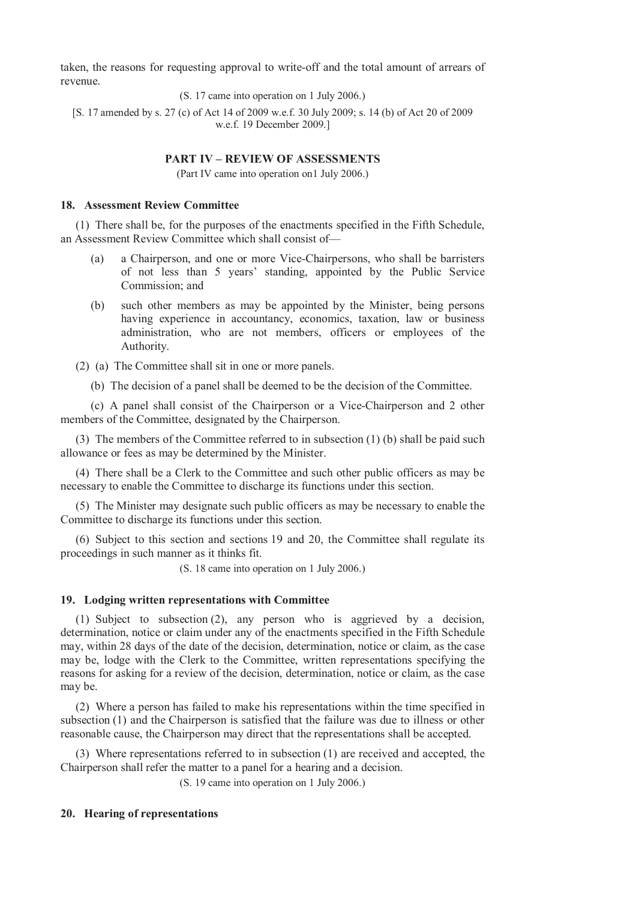taken, the reasons for requesting approval to write-off and the total amount of arrears of revenue.

(S. 17 came into operation on 1 July 2006.)

[S. 17 amended by s. 27 (c) of Act 14 of 2009 w.e.f. 30 July 2009; s. 14 (b) of Act 20 of 2009 w.e.f. 19 December 2009.]

### **PART IV – REVIEW OF ASSESSMENTS**

(Part IV came into operation on1 July 2006.)

### **18. Assessment Review Committee**

(1) There shall be, for the purposes of the enactments specified in the Fifth Schedule, an Assessment Review Committee which shall consist of—

- (a) a Chairperson, and one or more Vice-Chairpersons, who shall be barristers of not less than 5 years' standing, appointed by the Public Service Commission; and
- (b) such other members as may be appointed by the Minister, being persons having experience in accountancy, economics, taxation, law or business administration, who are not members, officers or employees of the Authority.
- (2) (a) The Committee shall sit in one or more panels.
	- (b) The decision of a panel shall be deemed to be the decision of the Committee.

(c) A panel shall consist of the Chairperson or a Vice-Chairperson and 2 other members of the Committee, designated by the Chairperson.

(3) The members of the Committee referred to in subsection (1) (b) shall be paid such allowance or fees as may be determined by the Minister.

(4) There shall be a Clerk to the Committee and such other public officers as may be necessary to enable the Committee to discharge its functions under this section.

(5) The Minister may designate such public officers as may be necessary to enable the Committee to discharge its functions under this section.

(6) Subject to this section and sections 19 and 20, the Committee shall regulate its proceedings in such manner as it thinks fit.

(S. 18 came into operation on 1 July 2006.)

#### **19. Lodging written representations with Committee**

(1) Subject to subsection (2), any person who is aggrieved by a decision, determination, notice or claim under any of the enactments specified in the Fifth Schedule may, within 28 days of the date of the decision, determination, notice or claim, as the case may be, lodge with the Clerk to the Committee, written representations specifying the reasons for asking for a review of the decision, determination, notice or claim, as the case may be.

(2) Where a person has failed to make his representations within the time specified in subsection (1) and the Chairperson is satisfied that the failure was due to illness or other reasonable cause, the Chairperson may direct that the representations shall be accepted.

(3) Where representations referred to in subsection (1) are received and accepted, the Chairperson shall refer the matter to a panel for a hearing and a decision.

(S. 19 came into operation on 1 July 2006.)

## **20. Hearing of representations**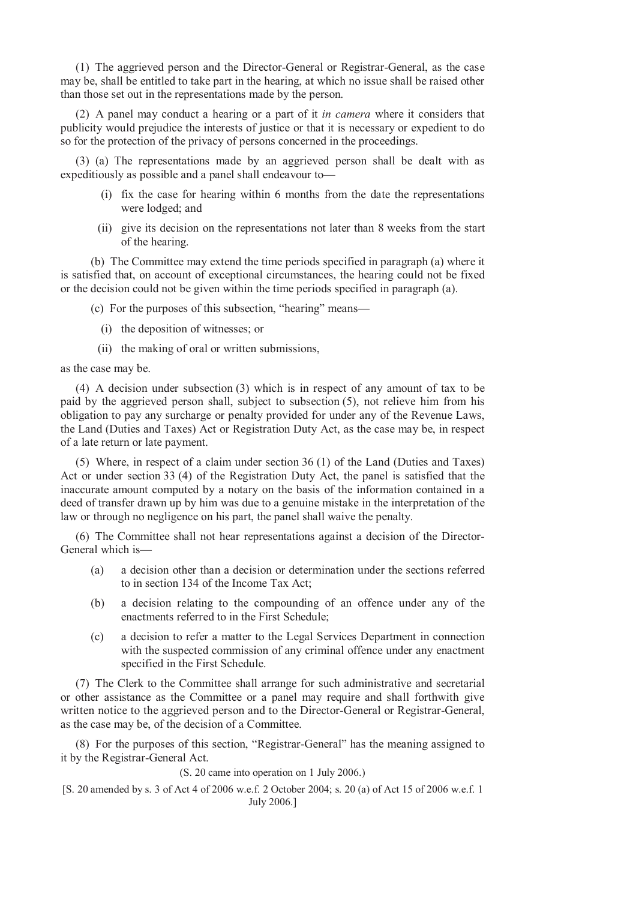(1) The aggrieved person and the Director-General or Registrar-General, as the case may be, shall be entitled to take part in the hearing, at which no issue shall be raised other than those set out in the representations made by the person.

(2) A panel may conduct a hearing or a part of it *in camera* where it considers that publicity would prejudice the interests of justice or that it is necessary or expedient to do so for the protection of the privacy of persons concerned in the proceedings.

(3) (a) The representations made by an aggrieved person shall be dealt with as expeditiously as possible and a panel shall endeavour to—

- (i) fix the case for hearing within 6 months from the date the representations were lodged; and
- (ii) give its decision on the representations not later than 8 weeks from the start of the hearing.

(b) The Committee may extend the time periods specified in paragraph (a) where it is satisfied that, on account of exceptional circumstances, the hearing could not be fixed or the decision could not be given within the time periods specified in paragraph (a).

(c) For the purposes of this subsection, "hearing" means—

- (i) the deposition of witnesses; or
- (ii) the making of oral or written submissions,

as the case may be.

(4) A decision under subsection (3) which is in respect of any amount of tax to be paid by the aggrieved person shall, subject to subsection (5), not relieve him from his obligation to pay any surcharge or penalty provided for under any of the Revenue Laws, the Land (Duties and Taxes) Act or Registration Duty Act, as the case may be, in respect of a late return or late payment.

(5) Where, in respect of a claim under section 36 (1) of the Land (Duties and Taxes) Act or under section 33 (4) of the Registration Duty Act, the panel is satisfied that the inaccurate amount computed by a notary on the basis of the information contained in a deed of transfer drawn up by him was due to a genuine mistake in the interpretation of the law or through no negligence on his part, the panel shall waive the penalty.

(6) The Committee shall not hear representations against a decision of the Director-General which is—

- (a) a decision other than a decision or determination under the sections referred to in section 134 of the Income Tax Act;
- (b) a decision relating to the compounding of an offence under any of the enactments referred to in the First Schedule;
- (c) a decision to refer a matter to the Legal Services Department in connection with the suspected commission of any criminal offence under any enactment specified in the First Schedule.

(7) The Clerk to the Committee shall arrange for such administrative and secretarial or other assistance as the Committee or a panel may require and shall forthwith give written notice to the aggrieved person and to the Director-General or Registrar-General, as the case may be, of the decision of a Committee.

(8) For the purposes of this section, "Registrar-General" has the meaning assigned to it by the Registrar-General Act.

(S. 20 came into operation on 1 July 2006.)

[S. 20 amended by s. 3 of Act 4 of 2006 w.e.f. 2 October 2004; s. 20 (a) of Act 15 of 2006 w.e.f. 1 July 2006.]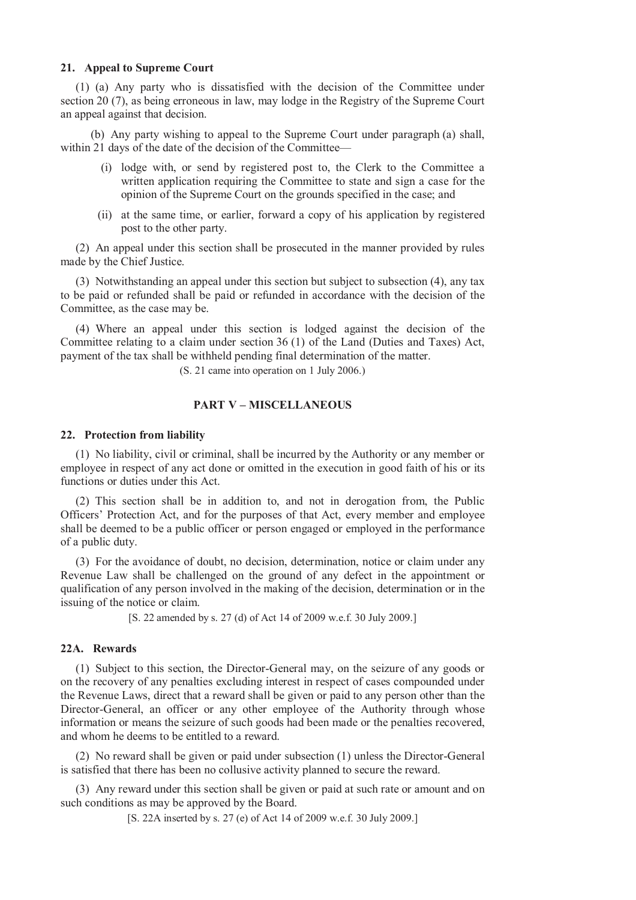#### **21. Appeal to Supreme Court**

(1) (a) Any party who is dissatisfied with the decision of the Committee under section 20 (7), as being erroneous in law, may lodge in the Registry of the Supreme Court an appeal against that decision.

(b) Any party wishing to appeal to the Supreme Court under paragraph (a) shall, within 21 days of the date of the decision of the Committee—

- (i) lodge with, or send by registered post to, the Clerk to the Committee a written application requiring the Committee to state and sign a case for the opinion of the Supreme Court on the grounds specified in the case; and
- (ii) at the same time, or earlier, forward a copy of his application by registered post to the other party.

(2) An appeal under this section shall be prosecuted in the manner provided by rules made by the Chief Justice.

(3) Notwithstanding an appeal under this section but subject to subsection (4), any tax to be paid or refunded shall be paid or refunded in accordance with the decision of the Committee, as the case may be.

(4) Where an appeal under this section is lodged against the decision of the Committee relating to a claim under section 36 (1) of the Land (Duties and Taxes) Act, payment of the tax shall be withheld pending final determination of the matter.

(S. 21 came into operation on 1 July 2006.)

# **PART V – MISCELLANEOUS**

#### **22. Protection from liability**

(1) No liability, civil or criminal, shall be incurred by the Authority or any member or employee in respect of any act done or omitted in the execution in good faith of his or its functions or duties under this Act.

(2) This section shall be in addition to, and not in derogation from, the Public Officers' Protection Act, and for the purposes of that Act, every member and employee shall be deemed to be a public officer or person engaged or employed in the performance of a public duty.

(3) For the avoidance of doubt, no decision, determination, notice or claim under any Revenue Law shall be challenged on the ground of any defect in the appointment or qualification of any person involved in the making of the decision, determination or in the issuing of the notice or claim.

[S. 22 amended by s. 27 (d) of Act 14 of 2009 w.e.f. 30 July 2009.]

## **22A. Rewards**

(1) Subject to this section, the Director-General may, on the seizure of any goods or on the recovery of any penalties excluding interest in respect of cases compounded under the Revenue Laws, direct that a reward shall be given or paid to any person other than the Director-General, an officer or any other employee of the Authority through whose information or means the seizure of such goods had been made or the penalties recovered, and whom he deems to be entitled to a reward.

(2) No reward shall be given or paid under subsection (1) unless the Director-General is satisfied that there has been no collusive activity planned to secure the reward.

(3) Any reward under this section shall be given or paid at such rate or amount and on such conditions as may be approved by the Board.

[S. 22A inserted by s. 27 (e) of Act 14 of 2009 w.e.f. 30 July 2009.]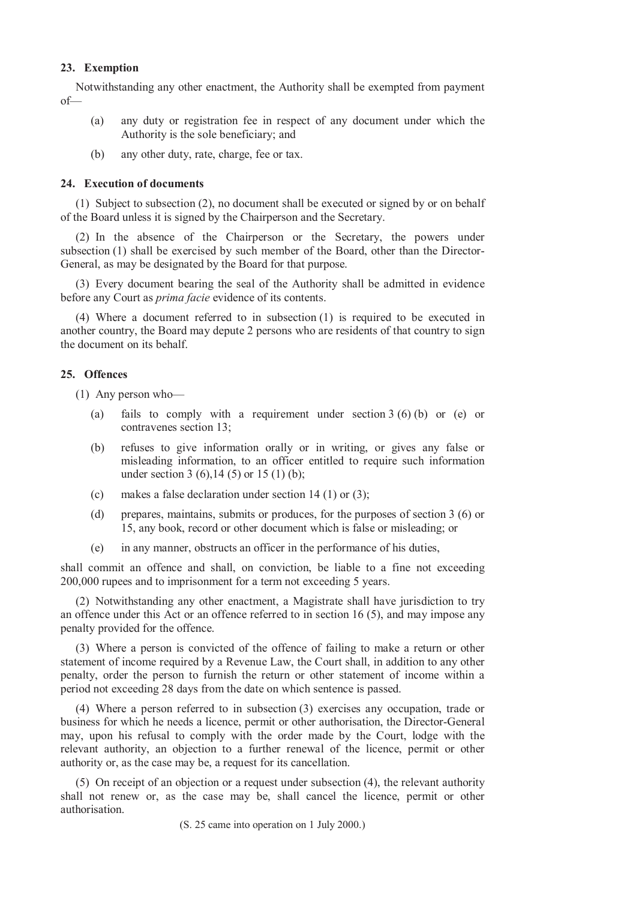## **23. Exemption**

Notwithstanding any other enactment, the Authority shall be exempted from payment of—

- (a) any duty or registration fee in respect of any document under which the Authority is the sole beneficiary; and
- (b) any other duty, rate, charge, fee or tax.

## **24. Execution of documents**

(1) Subject to subsection (2), no document shall be executed or signed by or on behalf of the Board unless it is signed by the Chairperson and the Secretary.

(2) In the absence of the Chairperson or the Secretary, the powers under subsection (1) shall be exercised by such member of the Board, other than the Director-General, as may be designated by the Board for that purpose.

(3) Every document bearing the seal of the Authority shall be admitted in evidence before any Court as *prima facie* evidence of its contents.

(4) Where a document referred to in subsection (1) is required to be executed in another country, the Board may depute 2 persons who are residents of that country to sign the document on its behalf.

## **25. Offences**

(1) Any person who—

- (a) fails to comply with a requirement under section  $3(6)(b)$  or (e) or contravenes section 13;
- (b) refuses to give information orally or in writing, or gives any false or misleading information, to an officer entitled to require such information under section 3 (6), 14 (5) or 15 (1) (b);
- (c) makes a false declaration under section 14 (1) or (3);
- (d) prepares, maintains, submits or produces, for the purposes of section 3 (6) or 15, any book, record or other document which is false or misleading; or
- (e) in any manner, obstructs an officer in the performance of his duties,

shall commit an offence and shall, on conviction, be liable to a fine not exceeding 200,000 rupees and to imprisonment for a term not exceeding 5 years.

(2) Notwithstanding any other enactment, a Magistrate shall have jurisdiction to try an offence under this Act or an offence referred to in section 16 (5), and may impose any penalty provided for the offence.

(3) Where a person is convicted of the offence of failing to make a return or other statement of income required by a Revenue Law, the Court shall, in addition to any other penalty, order the person to furnish the return or other statement of income within a period not exceeding 28 days from the date on which sentence is passed.

(4) Where a person referred to in subsection (3) exercises any occupation, trade or business for which he needs a licence, permit or other authorisation, the Director-General may, upon his refusal to comply with the order made by the Court, lodge with the relevant authority, an objection to a further renewal of the licence, permit or other authority or, as the case may be, a request for its cancellation.

(5) On receipt of an objection or a request under subsection (4), the relevant authority shall not renew or, as the case may be, shall cancel the licence, permit or other authorisation.

(S. 25 came into operation on 1 July 2000.)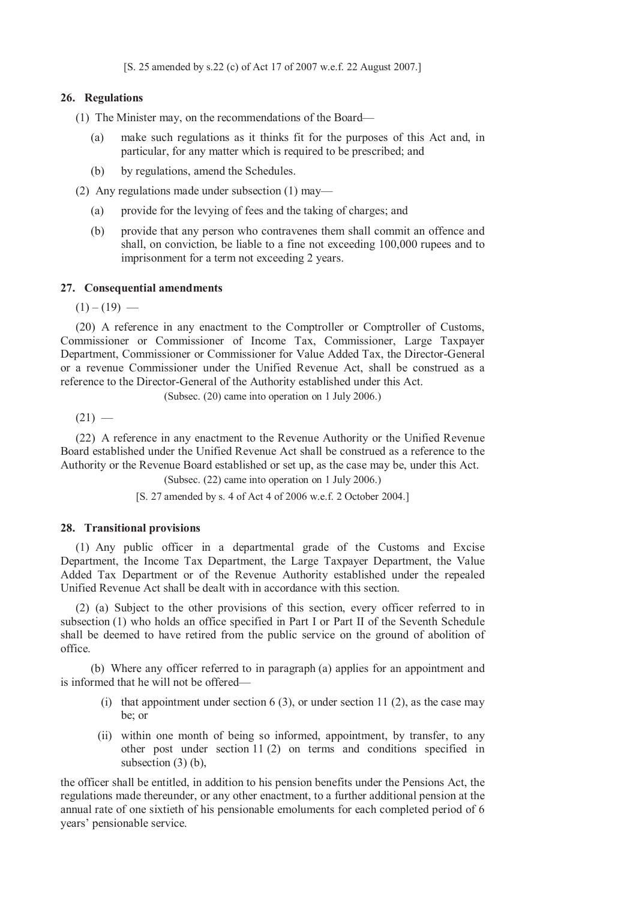[S. 25 amended by s.22 (c) of Act 17 of 2007 w.e.f. 22 August 2007.]

## **26. Regulations**

(1) The Minister may, on the recommendations of the Board—

- (a) make such regulations as it thinks fit for the purposes of this Act and, in particular, for any matter which is required to be prescribed; and
- (b) by regulations, amend the Schedules.

(2) Any regulations made under subsection (1) may—

- (a) provide for the levying of fees and the taking of charges; and
- (b) provide that any person who contravenes them shall commit an offence and shall, on conviction, be liable to a fine not exceeding 100,000 rupees and to imprisonment for a term not exceeding 2 years.

#### **27. Consequential amendments**

 $(1) - (19)$  —

(20) A reference in any enactment to the Comptroller or Comptroller of Customs, Commissioner or Commissioner of Income Tax, Commissioner, Large Taxpayer Department, Commissioner or Commissioner for Value Added Tax, the Director-General or a revenue Commissioner under the Unified Revenue Act, shall be construed as a reference to the Director-General of the Authority established under this Act.

(Subsec. (20) came into operation on 1 July 2006.)

 $(21) -$ 

(22) A reference in any enactment to the Revenue Authority or the Unified Revenue Board established under the Unified Revenue Act shall be construed as a reference to the Authority or the Revenue Board established or set up, as the case may be, under this Act.

(Subsec. (22) came into operation on 1 July 2006.)

[S. 27 amended by s. 4 of Act 4 of 2006 w.e.f. 2 October 2004.]

#### **28. Transitional provisions**

(1) Any public officer in a departmental grade of the Customs and Excise Department, the Income Tax Department, the Large Taxpayer Department, the Value Added Tax Department or of the Revenue Authority established under the repealed Unified Revenue Act shall be dealt with in accordance with this section.

(2) (a) Subject to the other provisions of this section, every officer referred to in subsection (1) who holds an office specified in Part I or Part II of the Seventh Schedule shall be deemed to have retired from the public service on the ground of abolition of office.

(b) Where any officer referred to in paragraph (a) applies for an appointment and is informed that he will not be offered—

- (i) that appointment under section 6 (3), or under section 11 (2), as the case may be; or
- (ii) within one month of being so informed, appointment, by transfer, to any other post under section 11 (2) on terms and conditions specified in subsection (3) (b),

the officer shall be entitled, in addition to his pension benefits under the Pensions Act, the regulations made thereunder, or any other enactment, to a further additional pension at the annual rate of one sixtieth of his pensionable emoluments for each completed period of 6 years' pensionable service.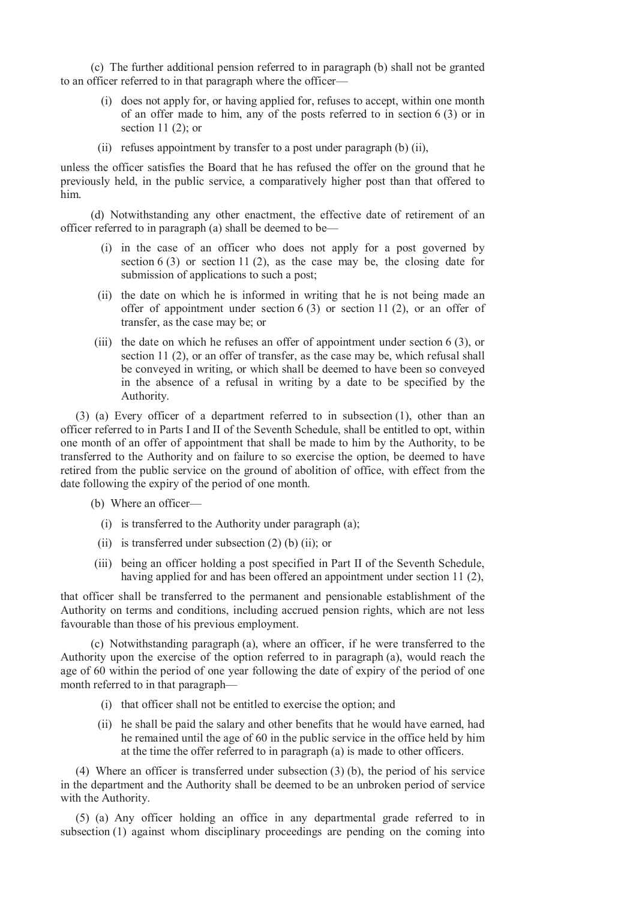(c) The further additional pension referred to in paragraph (b) shall not be granted to an officer referred to in that paragraph where the officer—

- (i) does not apply for, or having applied for, refuses to accept, within one month of an offer made to him, any of the posts referred to in section 6 (3) or in section  $11(2)$ ; or
- (ii) refuses appointment by transfer to a post under paragraph (b) (ii),

unless the officer satisfies the Board that he has refused the offer on the ground that he previously held, in the public service, a comparatively higher post than that offered to him.

(d) Notwithstanding any other enactment, the effective date of retirement of an officer referred to in paragraph (a) shall be deemed to be—

- (i) in the case of an officer who does not apply for a post governed by section  $6(3)$  or section  $11(2)$ , as the case may be, the closing date for submission of applications to such a post;
- (ii) the date on which he is informed in writing that he is not being made an offer of appointment under section  $6(3)$  or section  $11(2)$ , or an offer of transfer, as the case may be; or
- (iii) the date on which he refuses an offer of appointment under section 6 (3), or section 11 (2), or an offer of transfer, as the case may be, which refusal shall be conveyed in writing, or which shall be deemed to have been so conveyed in the absence of a refusal in writing by a date to be specified by the Authority.

(3) (a) Every officer of a department referred to in subsection (1), other than an officer referred to in Parts I and II of the Seventh Schedule, shall be entitled to opt, within one month of an offer of appointment that shall be made to him by the Authority, to be transferred to the Authority and on failure to so exercise the option, be deemed to have retired from the public service on the ground of abolition of office, with effect from the date following the expiry of the period of one month.

- (b) Where an officer—
	- (i) is transferred to the Authority under paragraph (a);
	- (ii) is transferred under subsection (2) (b) (ii); or
- (iii) being an officer holding a post specified in Part II of the Seventh Schedule, having applied for and has been offered an appointment under section 11 (2),

that officer shall be transferred to the permanent and pensionable establishment of the Authority on terms and conditions, including accrued pension rights, which are not less favourable than those of his previous employment.

(c) Notwithstanding paragraph (a), where an officer, if he were transferred to the Authority upon the exercise of the option referred to in paragraph (a), would reach the age of 60 within the period of one year following the date of expiry of the period of one month referred to in that paragraph—

- (i) that officer shall not be entitled to exercise the option; and
- (ii) he shall be paid the salary and other benefits that he would have earned, had he remained until the age of 60 in the public service in the office held by him at the time the offer referred to in paragraph (a) is made to other officers.

(4) Where an officer is transferred under subsection (3) (b), the period of his service in the department and the Authority shall be deemed to be an unbroken period of service with the Authority.

(5) (a) Any officer holding an office in any departmental grade referred to in subsection (1) against whom disciplinary proceedings are pending on the coming into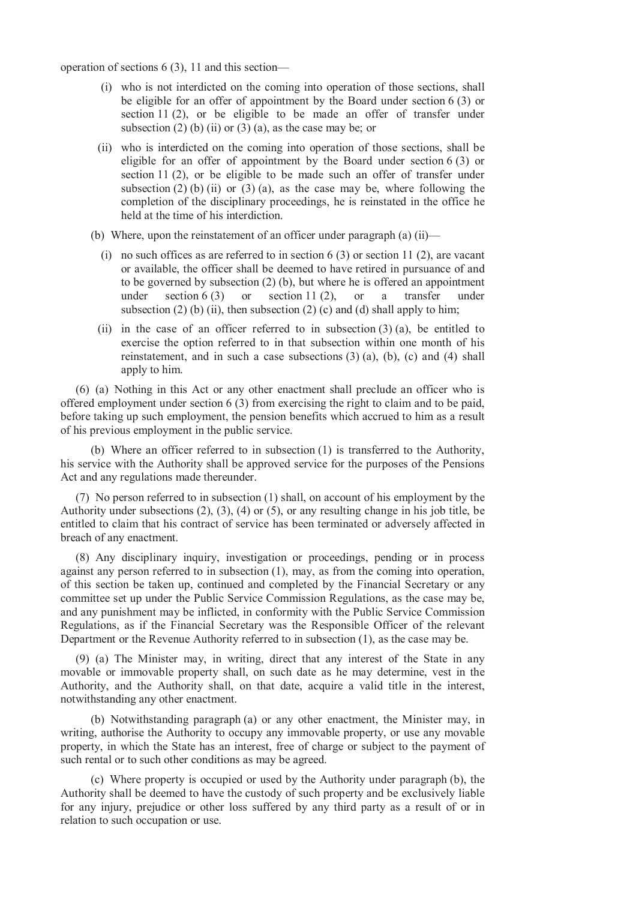operation of sections 6 (3), 11 and this section—

- (i) who is not interdicted on the coming into operation of those sections, shall be eligible for an offer of appointment by the Board under section 6 (3) or section 11 (2), or be eligible to be made an offer of transfer under subsection (2) (b) (ii) or (3) (a), as the case may be; or
- (ii) who is interdicted on the coming into operation of those sections, shall be eligible for an offer of appointment by the Board under section 6 (3) or section 11 (2), or be eligible to be made such an offer of transfer under subsection (2) (b) (ii) or (3) (a), as the case may be, where following the completion of the disciplinary proceedings, he is reinstated in the office he held at the time of his interdiction.
- (b) Where, upon the reinstatement of an officer under paragraph (a) (ii)—
	- (i) no such offices as are referred to in section  $6(3)$  or section 11 (2), are vacant or available, the officer shall be deemed to have retired in pursuance of and to be governed by subsection (2) (b), but where he is offered an appointment under section  $6(3)$  or section  $11(2)$ , or a transfer under subsection (2) (b) (ii), then subsection (2) (c) and (d) shall apply to him;
	- (ii) in the case of an officer referred to in subsection  $(3)$  (a), be entitled to exercise the option referred to in that subsection within one month of his reinstatement, and in such a case subsections (3) (a), (b), (c) and (4) shall apply to him.

(6) (a) Nothing in this Act or any other enactment shall preclude an officer who is offered employment under section 6 (3) from exercising the right to claim and to be paid, before taking up such employment, the pension benefits which accrued to him as a result of his previous employment in the public service.

(b) Where an officer referred to in subsection (1) is transferred to the Authority, his service with the Authority shall be approved service for the purposes of the Pensions Act and any regulations made thereunder.

(7) No person referred to in subsection (1) shall, on account of his employment by the Authority under subsections (2), (3), (4) or (5), or any resulting change in his job title, be entitled to claim that his contract of service has been terminated or adversely affected in breach of any enactment.

(8) Any disciplinary inquiry, investigation or proceedings, pending or in process against any person referred to in subsection (1), may, as from the coming into operation, of this section be taken up, continued and completed by the Financial Secretary or any committee set up under the Public Service Commission Regulations, as the case may be, and any punishment may be inflicted, in conformity with the Public Service Commission Regulations, as if the Financial Secretary was the Responsible Officer of the relevant Department or the Revenue Authority referred to in subsection (1), as the case may be.

(9) (a) The Minister may, in writing, direct that any interest of the State in any movable or immovable property shall, on such date as he may determine, vest in the Authority, and the Authority shall, on that date, acquire a valid title in the interest, notwithstanding any other enactment.

(b) Notwithstanding paragraph (a) or any other enactment, the Minister may, in writing, authorise the Authority to occupy any immovable property, or use any movable property, in which the State has an interest, free of charge or subject to the payment of such rental or to such other conditions as may be agreed.

(c) Where property is occupied or used by the Authority under paragraph (b), the Authority shall be deemed to have the custody of such property and be exclusively liable for any injury, prejudice or other loss suffered by any third party as a result of or in relation to such occupation or use.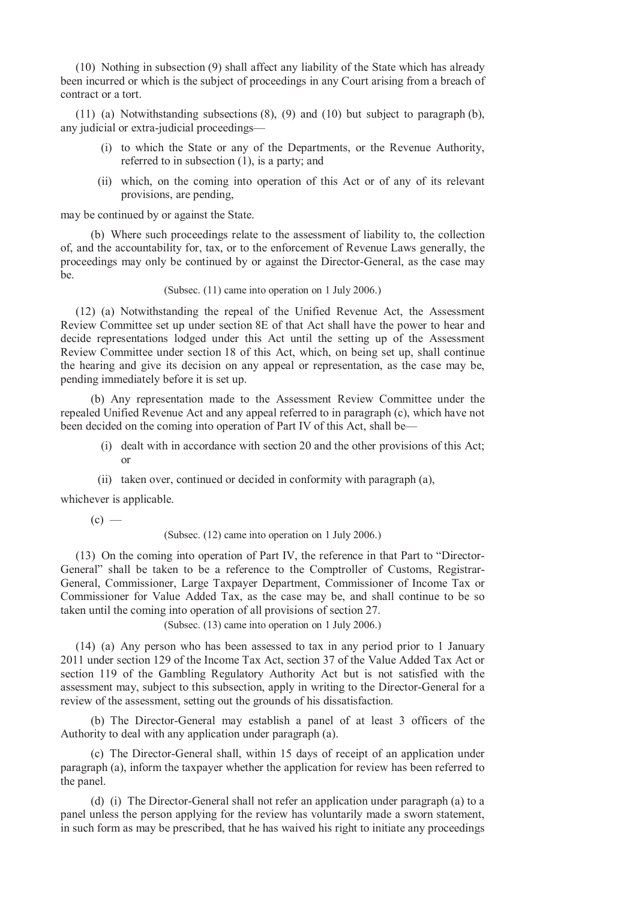(10) Nothing in subsection (9) shall affect any liability of the State which has already been incurred or which is the subject of proceedings in any Court arising from a breach of contract or a tort.

(11) (a) Notwithstanding subsections (8), (9) and (10) but subject to paragraph (b), any judicial or extra-judicial proceedings—

- (i) to which the State or any of the Departments, or the Revenue Authority, referred to in subsection (1), is a party; and
- (ii) which, on the coming into operation of this Act or of any of its relevant provisions, are pending,

may be continued by or against the State.

(b) Where such proceedings relate to the assessment of liability to, the collection of, and the accountability for, tax, or to the enforcement of Revenue Laws generally, the proceedings may only be continued by or against the Director-General, as the case may be.

### (Subsec. (11) came into operation on 1 July 2006.)

(12) (a) Notwithstanding the repeal of the Unified Revenue Act, the Assessment Review Committee set up under section 8E of that Act shall have the power to hear and decide representations lodged under this Act until the setting up of the Assessment Review Committee under section 18 of this Act, which, on being set up, shall continue the hearing and give its decision on any appeal or representation, as the case may be, pending immediately before it is set up.

(b) Any representation made to the Assessment Review Committee under the repealed Unified Revenue Act and any appeal referred to in paragraph (c), which have not been decided on the coming into operation of Part IV of this Act, shall be—

- (i) dealt with in accordance with section 20 and the other provisions of this Act; or
- (ii) taken over, continued or decided in conformity with paragraph (a),

whichever is applicable.

 $(c)$  —

(Subsec. (12) came into operation on 1 July 2006.)

(13) On the coming into operation of Part IV, the reference in that Part to "Director-General" shall be taken to be a reference to the Comptroller of Customs, Registrar-General, Commissioner, Large Taxpayer Department, Commissioner of Income Tax or Commissioner for Value Added Tax, as the case may be, and shall continue to be so taken until the coming into operation of all provisions of section 27.

(Subsec. (13) came into operation on 1 July 2006.)

(14) (a) Any person who has been assessed to tax in any period prior to 1 January 2011 under section 129 of the Income Tax Act, section 37 of the Value Added Tax Act or section 119 of the Gambling Regulatory Authority Act but is not satisfied with the assessment may, subject to this subsection, apply in writing to the Director-General for a review of the assessment, setting out the grounds of his dissatisfaction.

(b) The Director-General may establish a panel of at least 3 officers of the Authority to deal with any application under paragraph (a).

(c) The Director-General shall, within 15 days of receipt of an application under paragraph (a), inform the taxpayer whether the application for review has been referred to the panel.

(d) (i) The Director-General shall not refer an application under paragraph (a) to a panel unless the person applying for the review has voluntarily made a sworn statement, in such form as may be prescribed, that he has waived his right to initiate any proceedings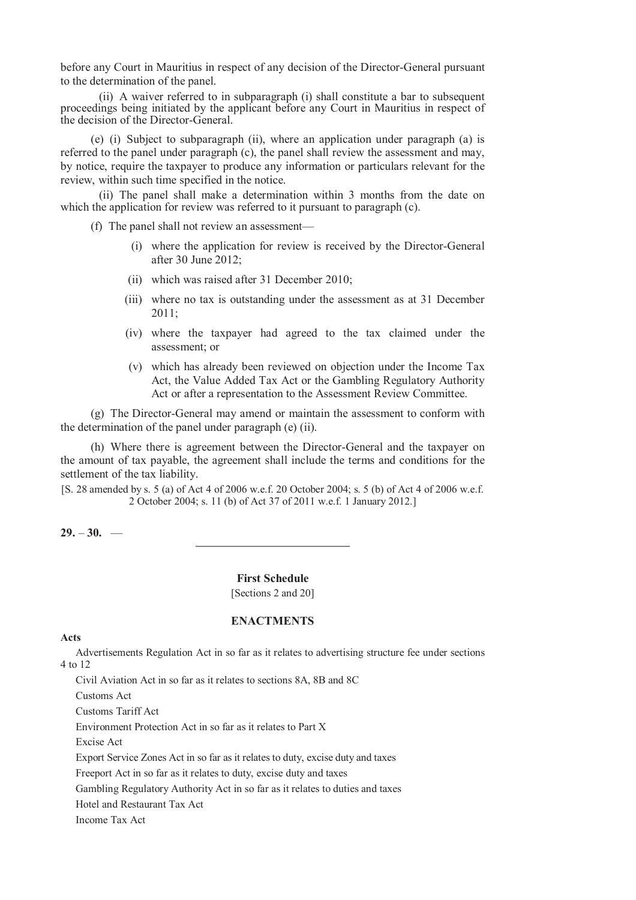before any Court in Mauritius in respect of any decision of the Director-General pursuant to the determination of the panel.

(ii) A waiver referred to in subparagraph (i) shall constitute a bar to subsequent proceedings being initiated by the applicant before any Court in Mauritius in respect of the decision of the Director-General.

(e) (i) Subject to subparagraph (ii), where an application under paragraph (a) is referred to the panel under paragraph (c), the panel shall review the assessment and may, by notice, require the taxpayer to produce any information or particulars relevant for the review, within such time specified in the notice.

(ii) The panel shall make a determination within 3 months from the date on which the application for review was referred to it pursuant to paragraph (c).

(f) The panel shall not review an assessment—

- (i) where the application for review is received by the Director-General after 30 June 2012;
- (ii) which was raised after 31 December 2010;
- (iii) where no tax is outstanding under the assessment as at 31 December 2011;
- (iv) where the taxpayer had agreed to the tax claimed under the assessment; or
- (v) which has already been reviewed on objection under the Income Tax Act, the Value Added Tax Act or the Gambling Regulatory Authority Act or after a representation to the Assessment Review Committee.

(g) The Director-General may amend or maintain the assessment to conform with the determination of the panel under paragraph (e) (ii).

(h) Where there is agreement between the Director-General and the taxpayer on the amount of tax payable, the agreement shall include the terms and conditions for the settlement of the tax liability.

[S. 28 amended by s. 5 (a) of Act 4 of 2006 w.e.f. 20 October 2004; s. 5 (b) of Act 4 of 2006 w.e.f. 2 October 2004; s. 11 (b) of Act 37 of 2011 w.e.f. 1 January 2012.]

 $29. -30.$  —

**First Schedule**  [Sections 2 and 20]

### **ENACTMENTS**

#### **Acts**

Advertisements Regulation Act in so far as it relates to advertising structure fee under sections 4 to 12

Civil Aviation Act in so far as it relates to sections 8A, 8B and 8C

Customs Act

Customs Tariff Act

Environment Protection Act in so far as it relates to Part X

Excise Act

Export Service Zones Act in so far as it relates to duty, excise duty and taxes

Freeport Act in so far as it relates to duty, excise duty and taxes

Gambling Regulatory Authority Act in so far as it relates to duties and taxes

Hotel and Restaurant Tax Act

Income Tax Act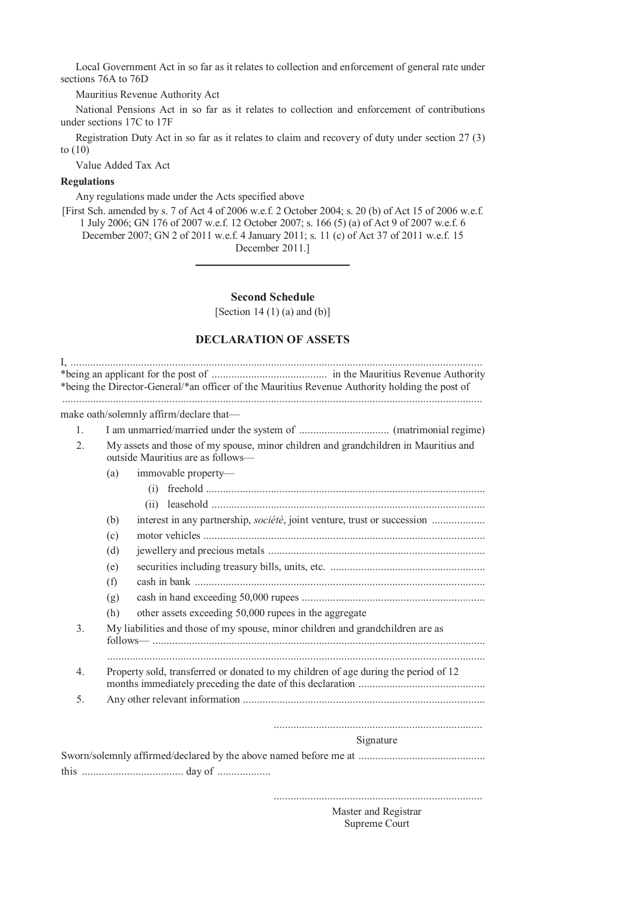Local Government Act in so far as it relates to collection and enforcement of general rate under sections 76A to 76D

Mauritius Revenue Authority Act

National Pensions Act in so far as it relates to collection and enforcement of contributions under sections 17C to 17F

Registration Duty Act in so far as it relates to claim and recovery of duty under section 27 (3) to (10)

Value Added Tax Act

# **Regulations**

Any regulations made under the Acts specified above

[First Sch. amended by s. 7 of Act 4 of 2006 w.e.f. 2 October 2004; s. 20 (b) of Act 15 of 2006 w.e.f. 1 July 2006; GN 176 of 2007 w.e.f. 12 October 2007; s. 166 (5) (a) of Act 9 of 2007 w.e.f. 6 December 2007; GN 2 of 2011 w.e.f. 4 January 2011; s. 11 (c) of Act 37 of 2011 w.e.f. 15 December 2011.]

**Second Schedule** 

[Section 14 $(1)$  $(a)$  and  $(b)$ ]

### **DECLARATION OF ASSETS**

| $\mathbf{1}$ .   |                                                                                                                          |
|------------------|--------------------------------------------------------------------------------------------------------------------------|
|                  |                                                                                                                          |
| 2.               | My assets and those of my spouse, minor children and grandchildren in Mauritius and<br>outside Mauritius are as follows- |
|                  | immovable property-<br>(a)                                                                                               |
|                  |                                                                                                                          |
|                  |                                                                                                                          |
|                  | (b)                                                                                                                      |
|                  | (c)                                                                                                                      |
|                  | (d)                                                                                                                      |
|                  | (e)                                                                                                                      |
|                  | (f)                                                                                                                      |
|                  | (g)                                                                                                                      |
|                  | other assets exceeding 50,000 rupees in the aggregate<br>(h)                                                             |
| 3.               | My liabilities and those of my spouse, minor children and grandchildren are as                                           |
| $\overline{4}$ . | Property sold, transferred or donated to my children of age during the period of 12                                      |
| 5                |                                                                                                                          |
|                  | Signature                                                                                                                |

..........................................................................

 Master and Registrar Supreme Court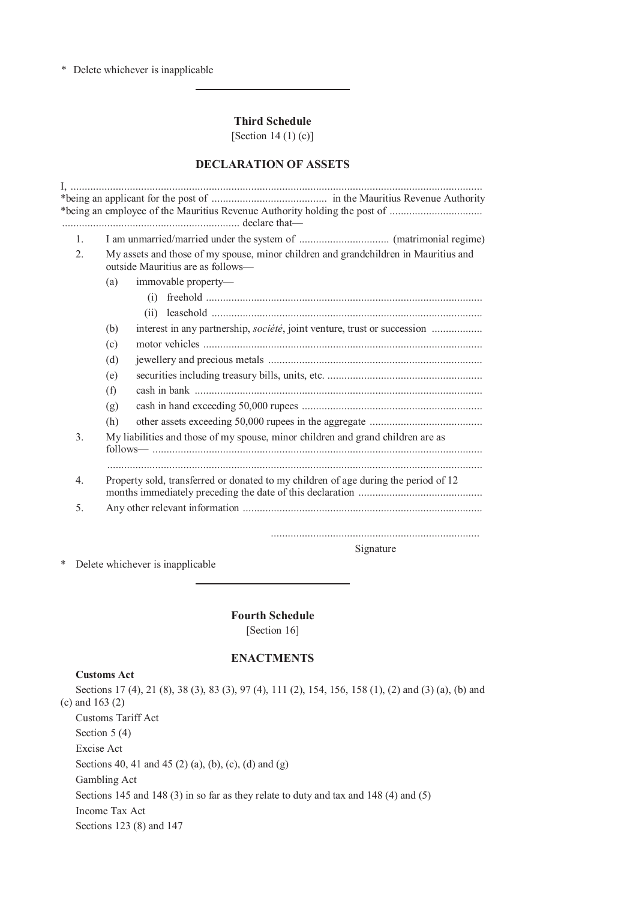\* Delete whichever is inapplicable

**Third Schedule** 

[Section 14 (1) (c)]

## **DECLARATION OF ASSETS**

| $\mathbf{1}$  |                                                                                                                          |
|---------------|--------------------------------------------------------------------------------------------------------------------------|
| $2_{\cdot}$   | My assets and those of my spouse, minor children and grandchildren in Mauritius and<br>outside Mauritius are as follows— |
|               | (a)<br>immovable property-                                                                                               |
|               |                                                                                                                          |
|               |                                                                                                                          |
|               | (b)                                                                                                                      |
|               | (c)                                                                                                                      |
|               | (d)                                                                                                                      |
|               | (e)                                                                                                                      |
|               | (f)                                                                                                                      |
|               | (g)                                                                                                                      |
|               | (h)                                                                                                                      |
| $\mathcal{E}$ | My liabilities and those of my spouse, minor children and grand children are as                                          |
| 4.            | Property sold, transferred or donated to my children of age during the period of 12                                      |
| 5.            |                                                                                                                          |

Signature

\* Delete whichever is inapplicable

**Fourth Schedule** 

[Section 16]

## **ENACTMENTS**

#### **Customs Act**

Sections 17 (4), 21 (8), 38 (3), 83 (3), 97 (4), 111 (2), 154, 156, 158 (1), (2) and (3) (a), (b) and (c) and 163 (2) Customs Tariff Act Section 5 (4) Excise Act Sections 40, 41 and 45 (2) (a), (b), (c), (d) and (g) Gambling Act Sections 145 and 148 (3) in so far as they relate to duty and tax and 148 (4) and (5) Income Tax Act Sections 123 (8) and 147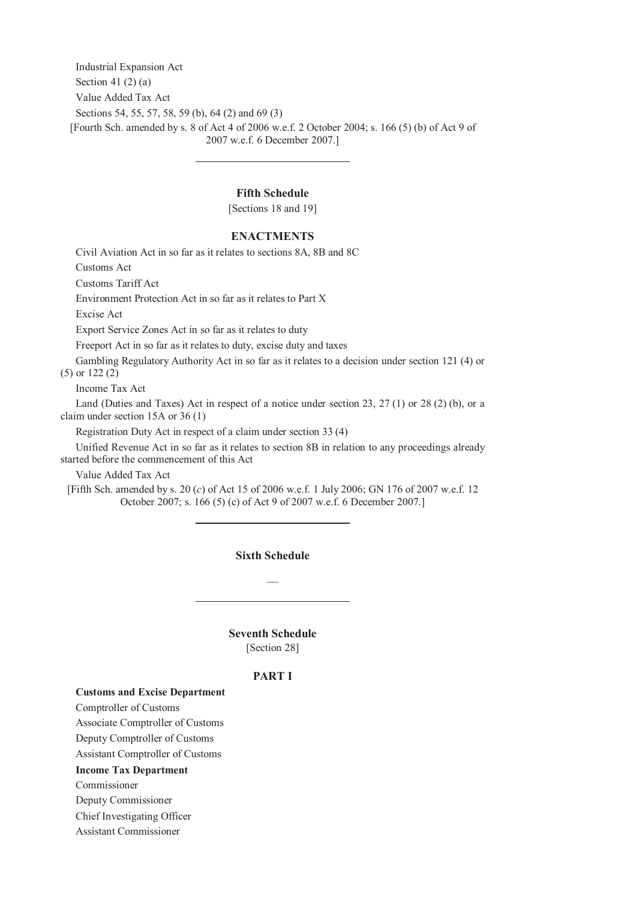Industrial Expansion Act Section 41 $(2)$  $(a)$ Value Added Tax Act Sections 54, 55, 57, 58, 59 (b), 64 (2) and 69 (3) [Fourth Sch. amended by s. 8 of Act 4 of 2006 w.e.f. 2 October 2004; s. 166 (5) (b) of Act 9 of 2007 w.e.f. 6 December 2007.]

## **Fifth Schedule**

[Sections 18 and 19]

#### **ENACTMENTS**

Civil Aviation Act in so far as it relates to sections 8A, 8B and 8C

Customs Act

Customs Tariff Act

Environment Protection Act in so far as it relates to Part X

Excise Act

Export Service Zones Act in so far as it relates to duty

Freeport Act in so far as it relates to duty, excise duty and taxes

Gambling Regulatory Authority Act in so far as it relates to a decision under section 121 (4) or (5) or 122 (2)

Income Tax Act

Land (Duties and Taxes) Act in respect of a notice under section 23, 27 (1) or 28 (2) (b), or a claim under section 15A or 36 (1)

Registration Duty Act in respect of a claim under section 33 (4)

Unified Revenue Act in so far as it relates to section 8B in relation to any proceedings already started before the commencement of this Act

Value Added Tax Act

[Fifth Sch. amended by s. 20 (*c*) of Act 15 of 2006 w.e.f. 1 July 2006; GN 176 of 2007 w.e.f. 12 October 2007; s. 166 (5) (c) of Act 9 of 2007 w.e.f. 6 December 2007.]

### **Sixth Schedule**

—

**Seventh Schedule**  [Section 28]

#### **PART I**

#### **Customs and Excise Department**

 Comptroller of Customs Associate Comptroller of Customs Deputy Comptroller of Customs Assistant Comptroller of Customs **Income Tax Department**

Commissioner

Deputy Commissioner

Chief Investigating Officer

Assistant Commissioner